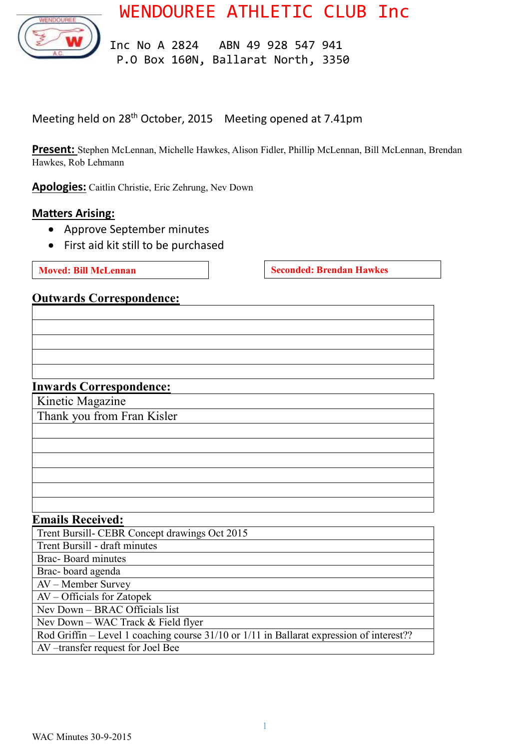WENDOUREE ATHLETIC CLUB Inc



 Inc No A 2824 ABN 49 928 547 941 P.O Box 160N, Ballarat North, 3350

Meeting held on 28th October, 2015 Meeting opened at 7.41pm

**Present:** Stephen McLennan, Michelle Hawkes, Alison Fidler, Phillip McLennan, Bill McLennan, Brendan Hawkes, Rob Lehmann

**Apologies:** Caitlin Christie, Eric Zehrung, Nev Down

#### **Matters Arising:**

- Approve September minutes
- First aid kit still to be purchased

**Moved:** Bill McLennan **Seconded: Brendan Hawkes** 

#### **Outwards Correspondence:**

#### **Inwards Correspondence:**

Kinetic Magazine

Thank you from Fran Kisler

#### **Emails Received:**

| Trent Bursill- CEBR Concept drawings Oct 2015                                            |
|------------------------------------------------------------------------------------------|
| Trent Bursill - draft minutes                                                            |
| Brac-Board minutes                                                                       |
| Brac-board agenda                                                                        |
| AV – Member Survey                                                                       |
| AV – Officials for Zatopek                                                               |
| Nev Down – BRAC Officials list                                                           |
| Nev Down – WAC Track & Field flyer                                                       |
| Rod Griffin – Level 1 coaching course 31/10 or 1/11 in Ballarat expression of interest?? |
| AV-transfer request for Joel Bee                                                         |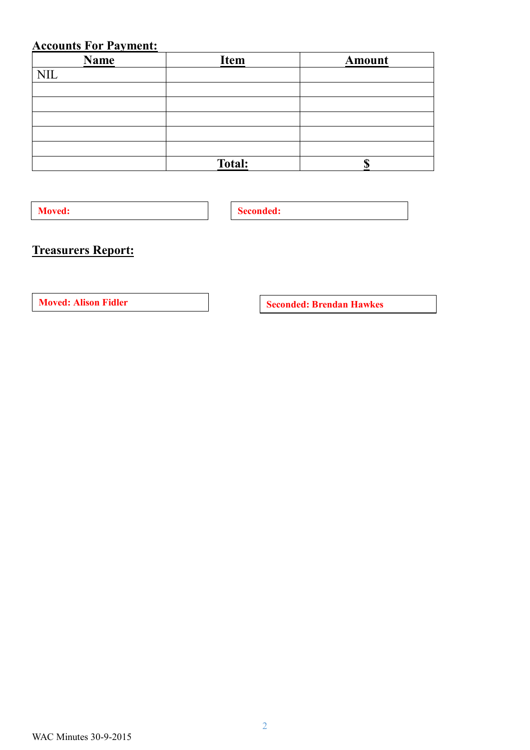## **Accounts For Payment:**

| <b>Name</b> | <b>Item</b>   | <b>Amount</b> |
|-------------|---------------|---------------|
| <b>NIL</b>  |               |               |
|             |               |               |
|             |               |               |
|             |               |               |
|             |               |               |
|             |               |               |
|             | <b>Total:</b> |               |

**Moved: Seconded: Seconded:** 

# **Treasurers Report:**

**Moved:** Alison Fidler **Seconded:** Brendan Hawkes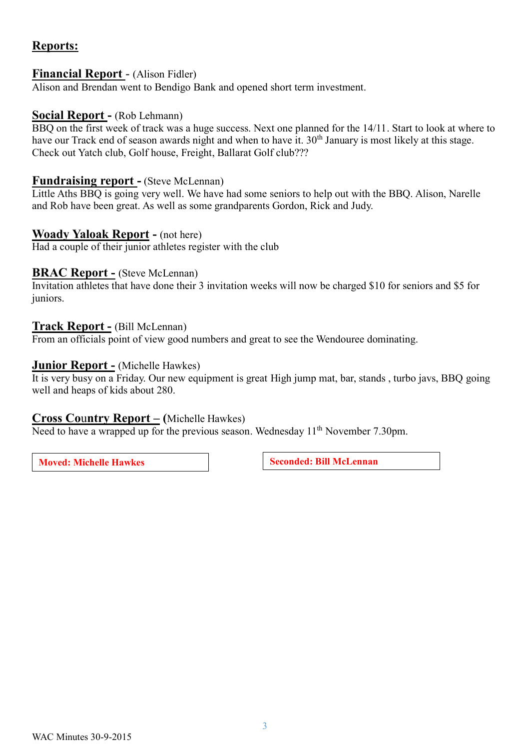### **Reports:**

#### **Financial Report** - (Alison Fidler)

Alison and Brendan went to Bendigo Bank and opened short term investment.

#### **Social Report -** (Rob Lehmann)

BBQ on the first week of track was a huge success. Next one planned for the 14/11. Start to look at where to have our Track end of season awards night and when to have it. 30<sup>th</sup> January is most likely at this stage. Check out Yatch club, Golf house, Freight, Ballarat Golf club???

#### **Fundraising report -** (Steve McLennan)

Little Aths BBQ is going very well. We have had some seniors to help out with the BBQ. Alison, Narelle and Rob have been great. As well as some grandparents Gordon, Rick and Judy.

#### **Woady Yaloak Report -** (not here)

Had a couple of their junior athletes register with the club

#### **BRAC Report -** (Steve McLennan)

Invitation athletes that have done their 3 invitation weeks will now be charged \$10 for seniors and \$5 for juniors.

#### **Track Report -** (Bill McLennan)

From an officials point of view good numbers and great to see the Wendouree dominating.

#### **Junior Report -** (Michelle Hawkes)

It is very busy on a Friday. Our new equipment is great High jump mat, bar, stands , turbo javs, BBQ going well and heaps of kids about 280.

#### **Cross Co**u**ntry Report – (**Michelle Hawkes)

Need to have a wrapped up for the previous season. Wednesday  $11<sup>th</sup>$  November 7.30pm.

**Moved: Michelle Hawkes Seconded: Bill McLennan**